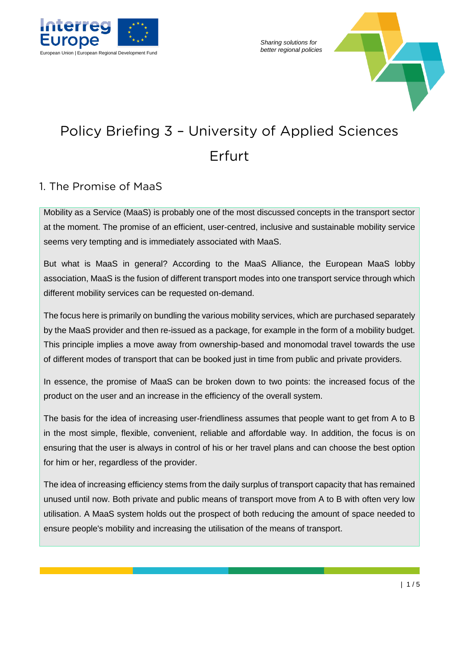

*Sharing solutions for* 



# Policy Briefing 3 – University of Applied Sciences Erfurt

### 1. The Promise of MaaS

Mobility as a Service (MaaS) is probably one of the most discussed concepts in the transport sector at the moment. The promise of an efficient, user-centred, inclusive and sustainable mobility service seems very tempting and is immediately associated with MaaS.

But what is MaaS in general? According to the MaaS Alliance, the European MaaS lobby association, MaaS is the fusion of different transport modes into one transport service through which different mobility services can be requested on-demand.

The focus here is primarily on bundling the various mobility services, which are purchased separately by the MaaS provider and then re-issued as a package, for example in the form of a mobility budget. This principle implies a move away from ownership-based and monomodal travel towards the use of different modes of transport that can be booked just in time from public and private providers.

In essence, the promise of MaaS can be broken down to two points: the increased focus of the product on the user and an increase in the efficiency of the overall system.

The basis for the idea of increasing user-friendliness assumes that people want to get from A to B in the most simple, flexible, convenient, reliable and affordable way. In addition, the focus is on ensuring that the user is always in control of his or her travel plans and can choose the best option for him or her, regardless of the provider.

The idea of increasing efficiency stems from the daily surplus of transport capacity that has remained unused until now. Both private and public means of transport move from A to B with often very low utilisation. A MaaS system holds out the prospect of both reducing the amount of space needed to ensure people's mobility and increasing the utilisation of the means of transport.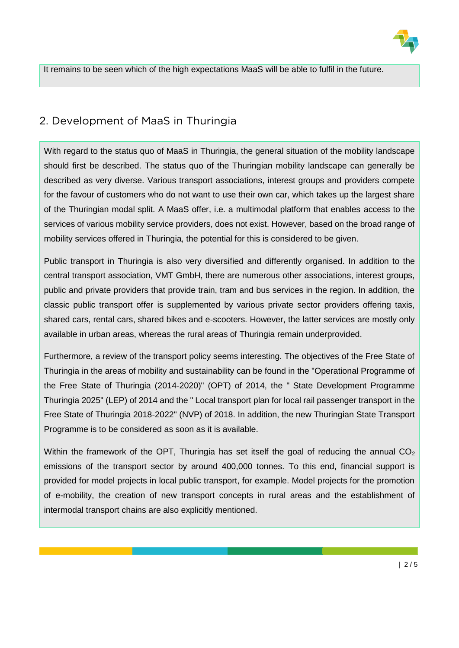

It remains to be seen which of the high expectations MaaS will be able to fulfil in the future.

## 2. Development of MaaS in Thuringia

With regard to the status quo of MaaS in Thuringia, the general situation of the mobility landscape should first be described. The status quo of the Thuringian mobility landscape can generally be described as very diverse. Various transport associations, interest groups and providers compete for the favour of customers who do not want to use their own car, which takes up the largest share of the Thuringian modal split. A MaaS offer, i.e. a multimodal platform that enables access to the services of various mobility service providers, does not exist. However, based on the broad range of mobility services offered in Thuringia, the potential for this is considered to be given.

Public transport in Thuringia is also very diversified and differently organised. In addition to the central transport association, VMT GmbH, there are numerous other associations, interest groups, public and private providers that provide train, tram and bus services in the region. In addition, the classic public transport offer is supplemented by various private sector providers offering taxis, shared cars, rental cars, shared bikes and e-scooters. However, the latter services are mostly only available in urban areas, whereas the rural areas of Thuringia remain underprovided.

Furthermore, a review of the transport policy seems interesting. The objectives of the Free State of Thuringia in the areas of mobility and sustainability can be found in the "Operational Programme of the Free State of Thuringia (2014-2020)" (OPT) of 2014, the " State Development Programme Thuringia 2025" (LEP) of 2014 and the " Local transport plan for local rail passenger transport in the Free State of Thuringia 2018-2022" (NVP) of 2018. In addition, the new Thuringian State Transport Programme is to be considered as soon as it is available.

Within the framework of the OPT, Thuringia has set itself the goal of reducing the annual  $CO<sub>2</sub>$ emissions of the transport sector by around 400,000 tonnes. To this end, financial support is provided for model projects in local public transport, for example. Model projects for the promotion of e-mobility, the creation of new transport concepts in rural areas and the establishment of intermodal transport chains are also explicitly mentioned.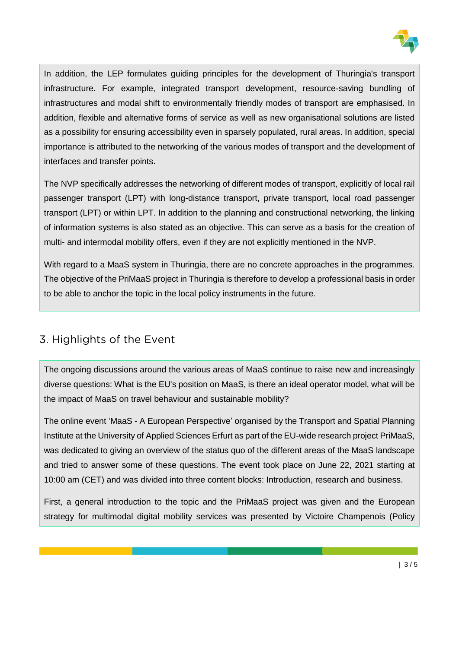

In addition, the LEP formulates guiding principles for the development of Thuringia's transport infrastructure. For example, integrated transport development, resource-saving bundling of infrastructures and modal shift to environmentally friendly modes of transport are emphasised. In addition, flexible and alternative forms of service as well as new organisational solutions are listed as a possibility for ensuring accessibility even in sparsely populated, rural areas. In addition, special importance is attributed to the networking of the various modes of transport and the development of interfaces and transfer points.

The NVP specifically addresses the networking of different modes of transport, explicitly of local rail passenger transport (LPT) with long-distance transport, private transport, local road passenger transport (LPT) or within LPT. In addition to the planning and constructional networking, the linking of information systems is also stated as an objective. This can serve as a basis for the creation of multi- and intermodal mobility offers, even if they are not explicitly mentioned in the NVP.

With regard to a MaaS system in Thuringia, there are no concrete approaches in the programmes. The objective of the PriMaaS project in Thuringia is therefore to develop a professional basis in order to be able to anchor the topic in the local policy instruments in the future.

## 3. Highlights of the Event

The ongoing discussions around the various areas of MaaS continue to raise new and increasingly diverse questions: What is the EU's position on MaaS, is there an ideal operator model, what will be the impact of MaaS on travel behaviour and sustainable mobility?

The online event 'MaaS - A European Perspective' organised by the Transport and Spatial Planning Institute at the University of Applied Sciences Erfurt as part of the EU-wide research project PriMaaS, was dedicated to giving an overview of the status quo of the different areas of the MaaS landscape and tried to answer some of these questions. The event took place on June 22, 2021 starting at 10:00 am (CET) and was divided into three content blocks: Introduction, research and business.

First, a general introduction to the topic and the PriMaaS project was given and the European strategy for multimodal digital mobility services was presented by Victoire Champenois (Policy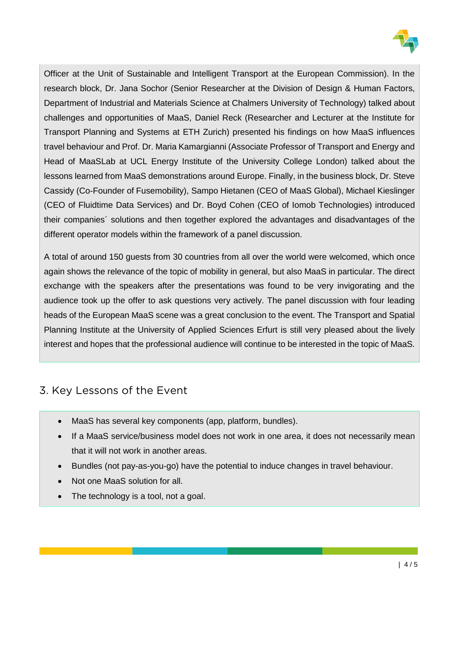

Officer at the Unit of Sustainable and Intelligent Transport at the European Commission). In the research block, Dr. Jana Sochor (Senior Researcher at the Division of Design & Human Factors, Department of Industrial and Materials Science at Chalmers University of Technology) talked about challenges and opportunities of MaaS, Daniel Reck (Researcher and Lecturer at the Institute for Transport Planning and Systems at ETH Zurich) presented his findings on how MaaS influences travel behaviour and Prof. Dr. Maria Kamargianni (Associate Professor of Transport and Energy and Head of MaaSLab at UCL Energy Institute of the University College London) talked about the lessons learned from MaaS demonstrations around Europe. Finally, in the business block, Dr. Steve Cassidy (Co-Founder of Fusemobility), Sampo Hietanen (CEO of MaaS Global), Michael Kieslinger (CEO of Fluidtime Data Services) and Dr. Boyd Cohen (CEO of Iomob Technologies) introduced their companies´ solutions and then together explored the advantages and disadvantages of the different operator models within the framework of a panel discussion.

A total of around 150 guests from 30 countries from all over the world were welcomed, which once again shows the relevance of the topic of mobility in general, but also MaaS in particular. The direct exchange with the speakers after the presentations was found to be very invigorating and the audience took up the offer to ask questions very actively. The panel discussion with four leading heads of the European MaaS scene was a great conclusion to the event. The Transport and Spatial Planning Institute at the University of Applied Sciences Erfurt is still very pleased about the lively interest and hopes that the professional audience will continue to be interested in the topic of MaaS.

## 3. Key Lessons of the Event

- MaaS has several key components (app, platform, bundles).
- If a MaaS service/business model does not work in one area, it does not necessarily mean that it will not work in another areas.
- Bundles (not pay-as-you-go) have the potential to induce changes in travel behaviour.
- Not one MaaS solution for all.
- The technology is a tool, not a goal.